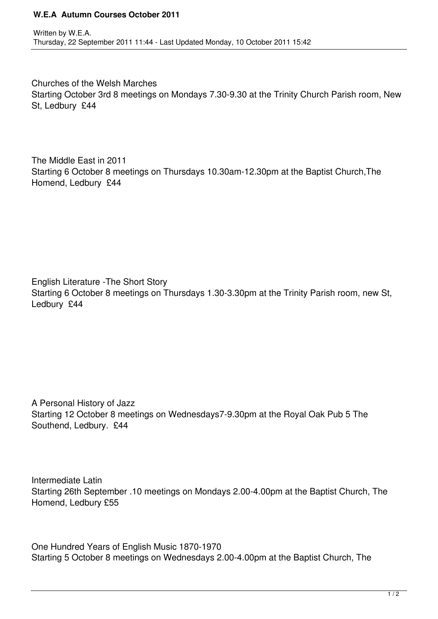## **W.E.A Autumn Courses October 2011**

Churches of the Welsh Marches Starting October 3rd 8 meetings on Mondays 7.30-9.30 at the Trinity Church Parish room, New St, Ledbury £44

The Middle East in 2011 Starting 6 October 8 meetings on Thursdays 10.30am-12.30pm at the Baptist Church,The Homend, Ledbury £44

English Literature -The Short Story Starting 6 October 8 meetings on Thursdays 1.30-3.30pm at the Trinity Parish room, new St, Ledbury £44

A Personal History of Jazz Starting 12 October 8 meetings on Wednesdays7-9.30pm at the Royal Oak Pub 5 The Southend, Ledbury. £44

Intermediate Latin Starting 26th September .10 meetings on Mondays 2.00-4.00pm at the Baptist Church, The Homend, Ledbury £55

One Hundred Years of English Music 1870-1970 Starting 5 October 8 meetings on Wednesdays 2.00-4.00pm at the Baptist Church, The